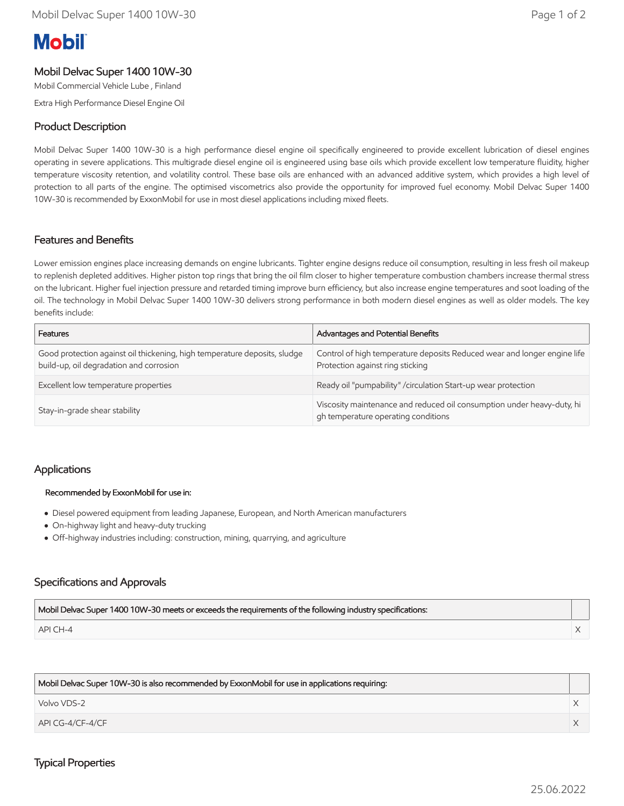# **Mobil**

# Mobil Delvac Super 1400 10W-30

Mobil Commercial Vehicle Lube , Finland

Extra High Performance Diesel Engine Oil

## Product Description

Mobil Delvac Super 1400 10W-30 is a high performance diesel engine oil specifically engineered to provide excellent lubrication of diesel engines operating in severe applications. This multigrade diesel engine oil is engineered using base oils which provide excellent low temperature fluidity, higher temperature viscosity retention, and volatility control. These base oils are enhanced with an advanced additive system, which provides a high level of protection to all parts of the engine. The optimised viscometrics also provide the opportunity for improved fuel economy. Mobil Delvac Super 1400 10W-30 is recommended by ExxonMobil for use in most diesel applications including mixed fleets.

#### Features and Benefits

Lower emission engines place increasing demands on engine lubricants. Tighter engine designs reduce oil consumption, resulting in less fresh oil makeup to replenish depleted additives. Higher piston top rings that bring the oil film closer to higher temperature combustion chambers increase thermal stress on the lubricant. Higher fuel injection pressure and retarded timing improve burn efficiency, but also increase engine temperatures and soot loading of the oil. The technology in Mobil Delvac Super 1400 10W-30 delivers strong performance in both modern diesel engines as well as older models. The key benefits include:

| <b>Features</b>                                                                                                      | Advantages and Potential Benefits                                                                             |
|----------------------------------------------------------------------------------------------------------------------|---------------------------------------------------------------------------------------------------------------|
| Good protection against oil thickening, high temperature deposits, sludge<br>build-up, oil degradation and corrosion | Control of high temperature deposits Reduced wear and longer engine life<br>Protection against ring sticking  |
| Excellent low temperature properties                                                                                 | Ready oil "pumpability" / circulation Start-up wear protection                                                |
| Stay-in-grade shear stability                                                                                        | Viscosity maintenance and reduced oil consumption under heavy-duty, hi<br>gh temperature operating conditions |

## Applications

#### Recommended by ExxonMobil for use in:

- Diesel powered equipment from leading Japanese, European, and North American manufacturers
- On-highway light and heavy-duty trucking
- Off-highway industries including: construction, mining, quarrying, and agriculture

## Specifications and Approvals

| Mobil Delvac Super 1400 10W-30 meets or exceeds the requirements of the following industry specifications: |  |
|------------------------------------------------------------------------------------------------------------|--|
| API CH-4                                                                                                   |  |

| Mobil Delvac Super 10W-30 is also recommended by ExxonMobil for use in applications requiring: |  |
|------------------------------------------------------------------------------------------------|--|
| Volvo VDS-2                                                                                    |  |
| $APICG-4/CF-4/CF$                                                                              |  |